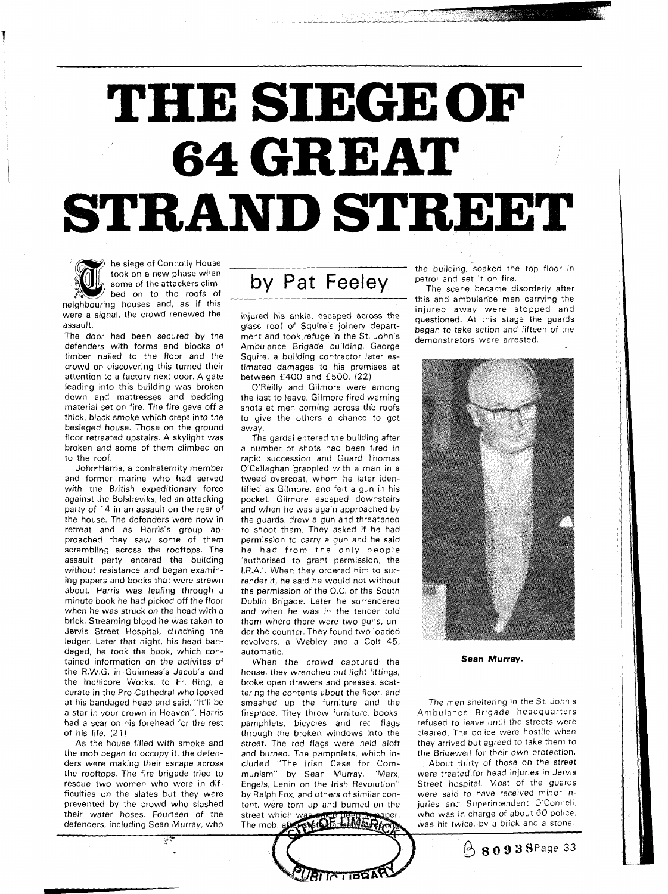## **THE SIEGE OF 64 GREAT STRAND STREET**



he siege of Connolly House took on a new phase when neighbouring houses and, as if this

were a signal, the crowd renewed the assault.

The door had been secured by the defenders with forms and blocks of timber nailed to the floor and the crowd on discovering this turned their attention to a factory next door. A gate leading into this building was broken down and mattresses and bedding material set on fire. The fire gave off a thick, black smoke which crept into the besieged house. Those on the ground floor retreated upstairs. A skylight was broken and some of them climbed on to the roof.

JohrrHarris, a confraternity member and former marine who had served with the British expeditionary force against the Bolsheviks, led an attacking party of 14 in an assault on the rear of the house. The defenders were now in retreat and as Harris's group approached they saw some of them scrambling across the rooftops. The assault party entered the building without resistance and began examining papers and books that were strewn about. Harris was leafing through a minute book he had picked off the floor when he was struck on the head with a brick. Streaming blood he was taken to Jervis Street Hospital, clutching the ledger. Later that night, his head bandaged, he took the book, which contained information on the activites of the R.W.G. in Guinness's Jacob's and the lnchicore Works, to Fr. Ring, a curate in the Pro-Cathedral who looked at his bandaged head and said, "It'll be a star in your crown in Heaven". Harris had a scar on his forehead for the rest of his life. (2 **1)** 

As the house filled with smoke and the mob began to occupy it, the defenders were making their escape across the rooftops. The fire brigade tried to rescue two women who were in difficulties on the slates but they were prevented by the crowd who slashed their water hoses. Fourteen of the defenders, including Sean Murray, who

took on a new phase when<br>bed on to the roofs of **by Pat Feeley** 

injured his ankle, escaped across the glass roof of Squire's joinery department and took refuge in the St. John's Ambulance Brigade building. George Squire, a building contractor later estimated damages to his premises at between f 400 and f 500. (22)

O'Reilly and Gilmore were among the last to leave. Gilmore fired warning shots at men coming across the roofs to give the others a chance to get away.

The gardai entered the building after a number of shots had been fired in rapid succession and Guard Thomas O'Callaghan grappled with a man in a tweed overcoat, whom he later identified as Gilmore, and felt a gun in his pocket. Gilmore escaped downstairs and when he was again approached by the guards, drew a gun and threatened to shoot them. They asked if he had permission to carry a gun and he said he had from the only people 'authorised to grant permission, the I.R.A.'. When they ordered him to surrender it, he said he would not without the permission of the O.C. of the South Dublin Brigade. Later he surrendered and when he was in the tender told them where there were two guns, under the counter. They found two loaded revolvers, a Webley and a Colt 45, automatic.

When the crowd captured the house, they wrenched out light fittings, broke open drawers and presses, scattering the contents about the floor, and smashed up the furniture and the fireplace. They threw furniture, books, pamphlets, bicycles and red flags through the broken windows into the street. The red flags were held aloft and burned. The pamphlets, which included "The lrish Case for Communism" by Sean Murray, "Marx, Engels, Lenin on the lrish Revolution" by Ralph Fox, and others of similar content, were torn up and burned on the street which wa GOE LIWET The mob.

**BITATIODAT** 

the building, soaked the top floor in petrol and set it on fire.

The scene became disorderly after this and ambulance men carrying the injured away were stopped and questioned. At this stage the guards began to take action and fifteen of the demonstrators were arrested.



**Sean Murray.** 

The men sheltering in the St. John's Ambulance Brigade headquarters refused to leave until the streets were cleared. The police were hostile when they arrived but agreed to take them to the Bridewell for their own protection.

About thirty of those on the street were treated for head injuries in Jervis Street hospital. Most of the guards were said to have received minor injuries and Superintendent O'Connell. who was in charge of about 60 police. was hit twice, by a brick and a stone.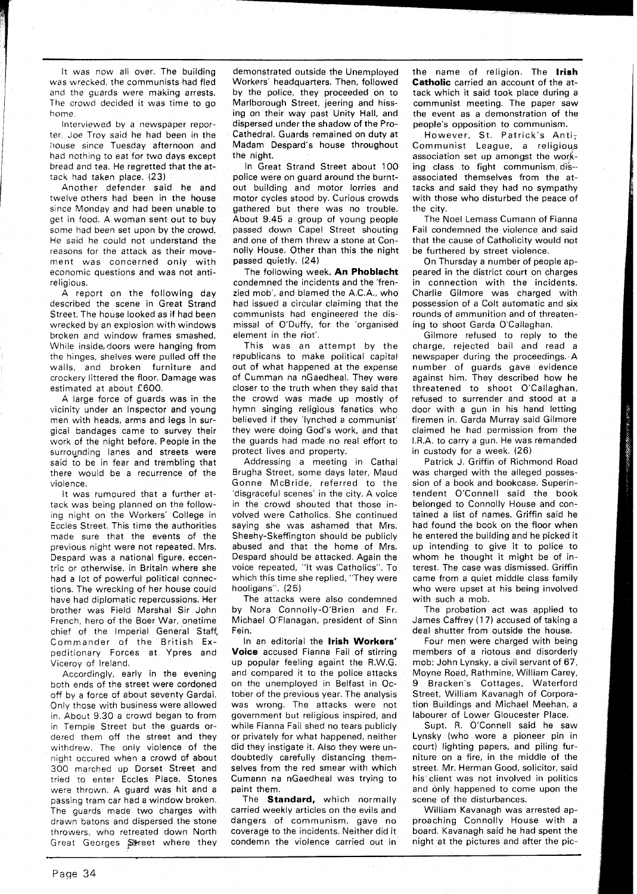It was now all over. The building was wrecked, the communists had fled and the guards were making arrests. The crowd decided it was time to go home.

Interviewed by a newspaper reporter, Joe Troy said he had been in the house since Tuesday afternoon and had nothing to eat for two days except bread and tea. He regretted that the attack had taken place. (23)

Another defender said he and twelve others had been in the house since Monday and had been unable to get in food. A woman sent out to buy some had been set upon by the crowd, He said he could not understand the reasons for the attack as their movement was concerned only with economic questions and was not antireligious.

A report on the following day described the scene in Great Strand Street. The house looked as if had been wrecked by an explosion with windows broken and window frames smashed. While inside, doors were hanging from the hinges, shelves were pulled off the walls, and broken furniture and crockery littered the floor. Damage was estimated at about £600.

A large force of guards was in the vicinity under an Inspector and young men with heads, arms and legs in surgical bandages came to survey their work of the night before. People in the surrounding lanes and streets were said to be in fear and trembling that there would be a recurrence of the violence.

It was rumoured that a further attack was being planned on the following night on the Workers' College in Eccles Street. This time the authorities made sure that the events of the previous night were not repeated. Mrs. Despard was a national figure, eccentric or otherwise, in Britain where she had a lot of powerful political connections. The wrecking of her house could have had diplomatic repercussions. Her brother was Field Marshal Sir John French, hero of the Boer War, onetime chief of the Imperial General Staff, Commander of the British Expeditionary Forces at Ypres and Viceroy of Ireland.

Accordingly, early in the evening both ends of the street were cordoned off by a force of about seventy Gardai. Only those with business were allowed in. About 9.30 a crowd began to from in Temple Street but the guards ordered them off the street and they withdrew. The only violence of the night occured when a crowd of about 300 marched up Dorset Street and tried to enter Eccles Place. Stones were thrown. A guard was hit and a passing tram car had a window broken. The guards made two charges with drawn batons and dispersed the stone throwers, who retreated down North Great Georges Street where they

demonstrated outside the Unemployed Workers' headquarters. Then, followed by the police, they proceeded on to Marlborough Street, jeering and hissing on their way past Unity Hall, and dispersed under the shadow of the Pro-Cathedral. Guards remained on duty at Madam Despard's house throughout the night.

In Great Strand Street about 100 police were on guard around the burntout building and motor lorries and motor cycles stood by. Curious crowds gathered but there was no trouble. About 9.45 a group of young people passed down Capel Street shouting and one of them threw a stone at Connolly House. Other than this the night passed quietly. (24)

The following week, **An Phoblacht**  condemned the incidents and the 'frenzied mob', and blamed the A.C.A., who had issued a circular claiming that the communists had engineered the dismissal of O'Duffy, for the 'organised element in the riot'.

This was an attempt by the republicans to make political capital out of what happened at the expense of Cumman na nGaedheal. They were closer to the truth when they said that the crowd was made up mostly of hymn singing religious fanatics who believed if they 'lynched a communist' they were doing God's work, and that the guards had made no real effort to protect lives and property.

Addressing a meeting in Cathal Brugha Street, some days later, Maud Gonne McBride, referred to the 'disgraceful scenes' in the city. A voice in the crowd shouted that those involved were Catholics. She continued saying she was ashamed that Mrs. Sheehy-Skeffington should be publicly abused and that the home of Mrs. Despard should be attacked. Again the voice repeated, "It was Catholics". To which this time she replied, "They were hooligans". (25)

The attacks were also condemned by Nora Connolly-O'Brien and Fr. Michael O'Flanagan, president of Sinn Fein.

In an editorial the **lrish Workers' Voice** accused Fianna Fail of stirring up popular feeling againt the R.W.G. and compared it to the police attacks on the unemployed in Belfast in October of the previous year. The analysis was wrong. The attacks were not government but religious inspired, and while Fianna Fail shed no tears publicly or privately for what happened, neither did they instigate it. Also they were undoubtedly carefully distancing themselves from the red smear with which Cumann na nGaedheal was trying to paint them.

The **Standard,** which normally carried weekly articles on the evils and dangers of communism, gave no coverage to the incidents. Neither did it condemn the violence carried out in

the name of religion. The **lrish Catholic** carried an account of the attack which it said took place during a communist meeting. The paper saw the event as a demonstration of the people's opposition to communism.

However, St. Patrick's Anti; Communist League, a religious association set up amongst the working class to fight communism dis-associated themselves from the attacks and said they had no sympathy with those who disturbed the peace of the city.

The Noel Lemass Cumann of Fianna Fail condemned the violence and said that the cause of Catholicity would not be furthered by street violence.

On Thursday a number of people appeared in the district court on charges in connection with the incidents. Charlie Gilmore was charged with possession of a Colt automatic and six rounds of ammunition and of threatening to shoot Garda O'Callaghan.

Gilmore refused to reply to the charge, rejected bail and read a newspaper during the proceedings. A number of guards gave evidence against him. They described how he threatened to shoot O'Callaghan, refused to surrender and stood at a door with a gun in his hand letting firemen in. Garda Murray said Gilmore claimed he had permission from the IRA. to carry a gun. He was remanded in custody for a week. (26)

Patrick J. Griffin of Richmond Road was charged with the alleged possession of a book and bookcase. Superintendent O'Connell said the book belonged to Connolly House and contained a list of names. Griffin said he had found the book on the floor when he entered the building and he picked it up intending to give it to police to whom he thought it might be of interest. The case was dismissed. Griffin came from a quiet middle class family who were upset at his being involved with such a mob.

The probation act was applied to James Caffrey **(1** 7) accused of taking a deal shutter from outside the house.

Four men were charged with being members of a riotous and disorderly mob: John Lynsky, a civil servant of 67, Moyne Road, Rathmine, William Carey, 9 Bracken's Cottages, Waterford Street, William Kavanagh of Corporation Buildings and Michael Meehan, a labourer of Lower Gloucester Place.

Supt. R. O'Connell said he saw Lynsky (who wore a pioneer pin in court) lighting papers, and piling furniture on a fire, in the middle of the street. Mr. Herman Good, solicitor, said his client was not involved in politics and only happened to come upon the scene of the disturbances.

William Kavanagh was arrested approaching Connolly House with a board. Kavanagh said he had spent the night at the pictures and after the pic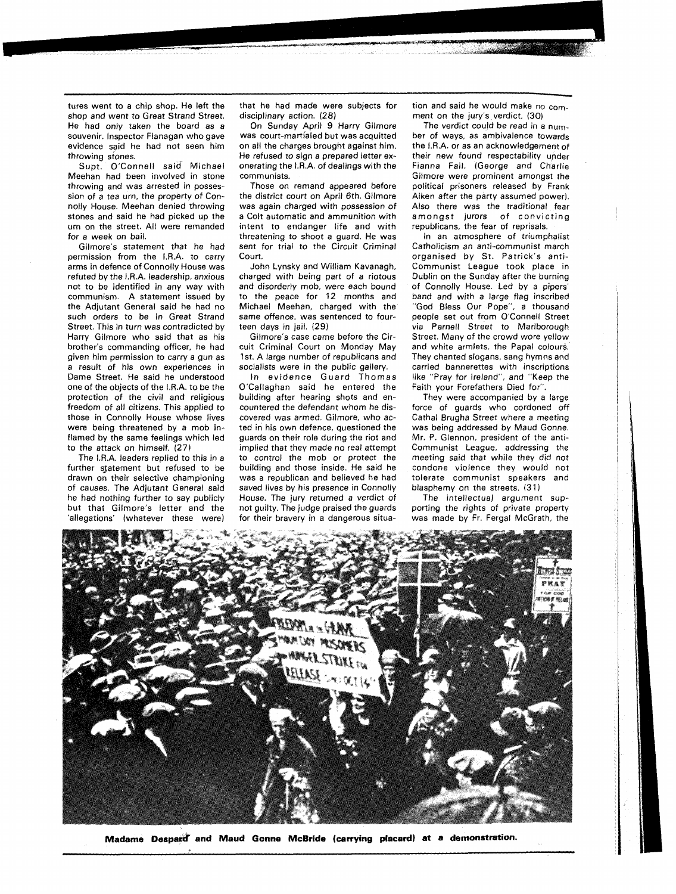tures went to a chip shop. He left the shop and went to Great Strand Street. He had only taken the board as a souvenir. Inspector Flanagan who gave evidence said he had not seen him throwing stones.

Supt. O'Connell said Michael Meehan had been involved in stone throwing and was arrested in possession of a tea urn, the property of Connolly House. Meehan denied throwing stones and said he had picked up the urn on the street. All were remanded for a week on bail.

Gilmore's statement that he had permission from the IRA. to carry arms in defence of Connolly House was refuted by the I.R.A. leadership, anxious not to be identified in any way with communism. A statement issued by the Adjutant General said he had no such orders to be in Great Strand Street. This in turn was contradicted by Harry Gilmore who said that as his brother's commanding officer, he had given him permission to carry a gun as a result of his own experiences in Dame Street. He said he understood one of the objects of the IRA. to be the protection of the civil and religious freedom of all citizens. This applied to those in Connolly House whose lives were being threatened by a mob inflamed by the same feelings which led to the attack on himself. (27)

The I.R.A. leaders replied to this in a further sjatement but refused to be drawn on their selective championing of causes. The Adjutant General said he had nothing further to say publicly but that Gilmore's letter and the 'allegations' (whatever these were) that he had made were subjects for disciplinary action. (28)

On Sunday April 9 Harry Gilmore was court-martialed but was acquitted on all the charges brought against him. He refused to sign a prepared letter exonerating the I.R.A. of dealings with the communists.

Those on remand appeared before the district court on April 6th. Gilmore was again charged with possession of a Colt automatic and ammunition with intent to endanger life and with threatening to shoot a guard. He was sent for trial to the Circuit Criminal Court.

John Lynsky and William Kavanagh, charged with being part of a riotous and disorderly mob, were each bound to the peace for 12 months and Michael Meehan, charged with the same offence, was sentenced to fourteen days in jail. (29)

Gilmore's case came before the Circuit Criminal Court on Monday May 1st. A large number of republicans and socialists were in the public gallery.

In evidence Guard Thomas O'Callaghan said he entered the building after hearing shots and encountered the defendant whom he discovered was armed. Gilmore, who acted in his own defence, questioned the guards on their role during the riot and implied that they made no real attempt to control the mob or protect the building and those inside. He said he was a republican and believed he had saved lives by his presence in Connolly House. The jury returned a verdict of not guilty. The judge praised the guards for their bravery in a dangerous situation and said he would make no comment on the jury's verdict. (30)

The verdict could be read in a number of ways, as ambivalence towards the I.R.A. or as an acknowledgement of their new found respectability under Fianna Fail. (George and Charlie Gilmore were prominent amongst the political prisoners released by Frank Aiken after the party assumed power). Also there was the traditional fear amongst jurors of convicting republicans, the fear of reprisals.

In an atmosphere of triumphalist Catholicism an anti-communist march organised by St. Patrick's anti-Communist League took place in Dublin on the Sunday after the burning of Connolly House. Led by a pipers' band and with a large flag inscribed "God Bless Our Pope", a thousand people set out from O'Connell Street via Parnell Street to Marlborough Street. Many of the crowd wore yellow and white armlets, the Papal colours. They chanted slogans, sang hymns and carried bannerettes with inscriptions like "Pray for Ireland", and "Keep the Faith your Forefathers Died for".

They were accompanied by a large force of guards who cordoned off Cathal Brugha Street where a meeting was being addressed by Maud Gonne. Mr. P. Glennon, president of the anti-Communist League, addressing the meeting said that while they did not condone violence they would not tolerate communist speakers and blasphemy on the streets. **(3** 1)

The intellectual argument supporting the rights of private property was made by Fr. Fergal McGrath, the



**Madame Despard and Maud Gonne McBride (carrying placard) at a demonstration.**